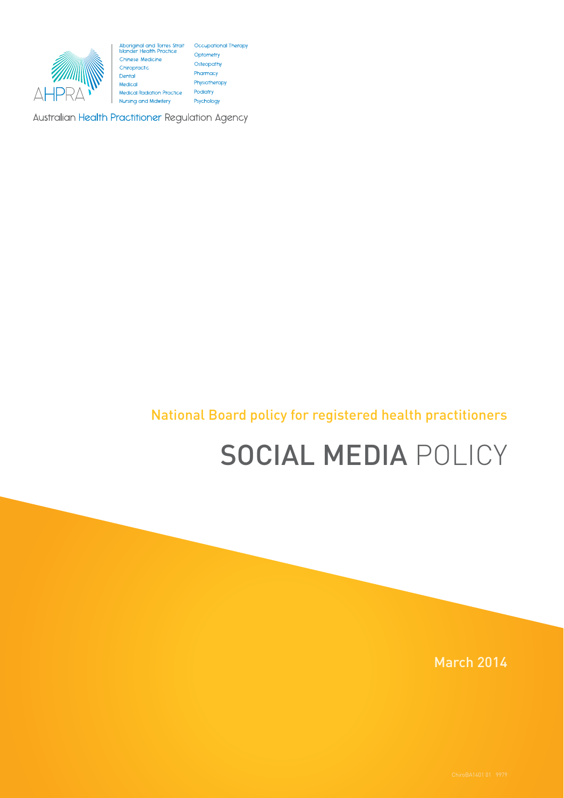

Optometry Chinese Medicine Osteopath<br>Pharmacy Chiropractic Dental Medical Medical Radiation Practice Nursing and Midwifery

Osteopathy

Physiotherapy

Podiatry

Psychology

Australian Health Practitioner Regulation Agency

### National Board policy for registered health practitioners

# SOCIAL MEDIA POLICY

March 2014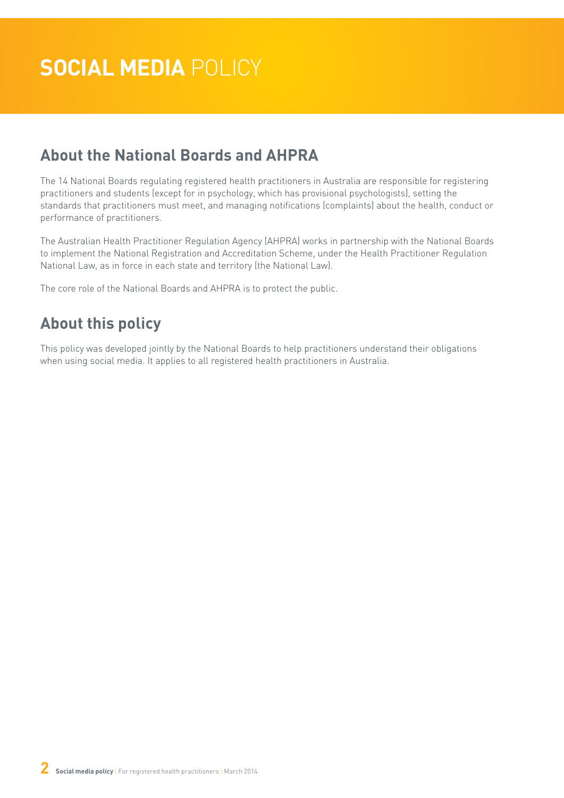### **About the National Boards and AHPRA**

The 14 National Boards regulating registered health practitioners in Australia are responsible for registering practitioners and students (except for in psychology, which has provisional psychologists), setting the standards that practitioners must meet, and managing notifications (complaints) about the health, conduct or performance of practitioners.

The Australian Health Practitioner Regulation Agency (AHPRA) works in partnership with the National Boards to implement the National Registration and Accreditation Scheme, under the Health Practitioner Regulation National Law, as in force in each state and territory (the National Law).

The core role of the National Boards and AHPRA is to protect the public.

### **About this policy**

This policy was developed jointly by the National Boards to help practitioners understand their obligations when using social media. It applies to all registered health practitioners in Australia.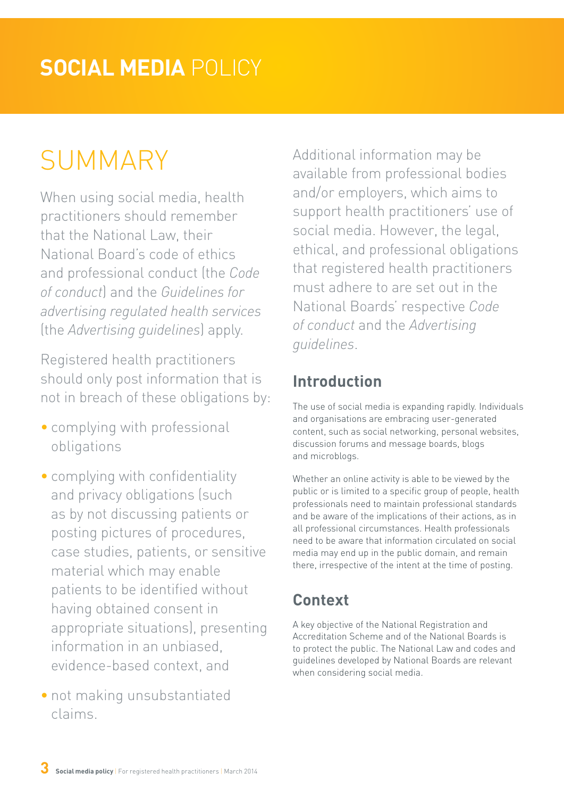## **SOCIAL MEDIA** POLICY

# SUMMARY

When using social media, health practitioners should remember that the National Law, their National Board's code of ethics and professional conduct (the *Code of conduct*) and the *Guidelines for advertising regulated health services*  (the *Advertising guidelines*) apply.

Registered health practitioners should only post information that is not in breach of these obligations by:

- complying with professional obligations
- complying with confidentiality and privacy obligations (such as by not discussing patients or posting pictures of procedures, case studies, patients, or sensitive material which may enable patients to be identified without having obtained consent in appropriate situations), presenting information in an unbiased, evidence-based context, and
- not making unsubstantiated claims.

Additional information may be available from professional bodies and/or employers, which aims to support health practitioners' use of social media. However, the legal, ethical, and professional obligations that registered health practitioners must adhere to are set out in the National Boards' respective *Code of conduct* and the *Advertising guidelines*.

### **Introduction**

The use of social media is expanding rapidly. Individuals and organisations are embracing user-generated content, such as social networking, personal websites, discussion forums and message boards, blogs and microblogs.

Whether an online activity is able to be viewed by the public or is limited to a specific group of people, health professionals need to maintain professional standards and be aware of the implications of their actions, as in all professional circumstances. Health professionals need to be aware that information circulated on social media may end up in the public domain, and remain there, irrespective of the intent at the time of posting.

### **Context**

A key objective of the National Registration and Accreditation Scheme and of the National Boards is to protect the public. The National Law and codes and guidelines developed by National Boards are relevant when considering social media.